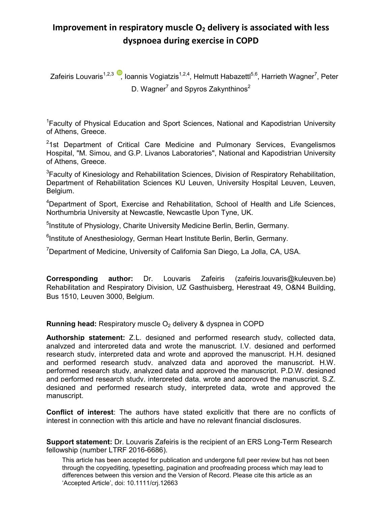## **Improvement in respiratory muscle O2 delivery is associated with less dyspnoea during exercise in COPD**

Zafeiris Louvaris<sup>1,2,3</sup>[,](http://orcid.org/0000-0001-8661-8546) Ioannis Vogiatzis<sup>1,2,4</sup>, Helmutt Habazettl<sup>5,6</sup>, Harrieth Wagner<sup>7</sup>, Peter D. Wagner $^7$  and Spyros Zakynthinos $^2$ 

<sup>1</sup>Faculty of Physical Education and Sport Sciences, National and Kapodistrian University of Athens, Greece.

<sup>2</sup>1st Department of Critical Care Medicine and Pulmonary Services, Evangelismos Hospital, "M. Simou, and G.P. Livanos Laboratories", National and Kapodistrian University of Athens, Greece.

<sup>3</sup>Faculty of Kinesiology and Rehabilitation Sciences, Division of Respiratory Rehabilitation, Department of Rehabilitation Sciences KU Leuven, University Hospital Leuven, Leuven, Belgium.

<sup>4</sup>Department of Sport, Exercise and Rehabilitation, School of Health and Life Sciences, Northumbria University at Newcastle, Newcastle Upon Tyne, UK.

<sup>5</sup>Institute of Physiology, Charite University Medicine Berlin, Berlin, Germany.

<sup>6</sup>Institute of Anesthesiology, German Heart Institute Berlin, Berlin, Germany.

<sup>7</sup>Department of Medicine, University of California San Diego, La Jolla, CA, USA.

**Corresponding author:** Dr. Louvaris Zafeiris (zafeiris.louvaris@kuleuven.be) Rehabilitation and Respiratory Division, UZ Gasthuisberg, Herestraat 49, O&N4 Building, Bus 1510, Leuven 3000, Belgium.

**Running head:** Respiratory muscle O<sub>2</sub> delivery & dyspnea in COPD

**Authorship statement:** Z.L. designed and performed research study, collected data, analyzed and interpreted data and wrote the manuscript. I.V. designed and performed research study, interpreted data and wrote and approved the manuscript. H.H. designed and performed research study, analyzed data and approved the manuscript. H.W. performed research study, analyzed data and approved the manuscript. P.D.W. designed and performed research study, interpreted data, wrote and approved the manuscript. S.Z. designed and performed research study, interpreted data, wrote and approved the manuscript.

**Conflict of interest**: The authors have stated explicitly that there are no conflicts of interest in connection with this article and have no relevant financial disclosures.

**Support statement:** Dr. Louvaris Zafeiris is the recipient of an ERS Long-Term Research fellowship (number LTRF 2016-6686).

This article has been accepted for publication and undergone full peer review but has not been through the copyediting, typesetting, pagination and proofreading process which may lead to differences between this version and the Version of Record. Please cite this article as an 'Accepted Article', doi: 10.1111/crj.12663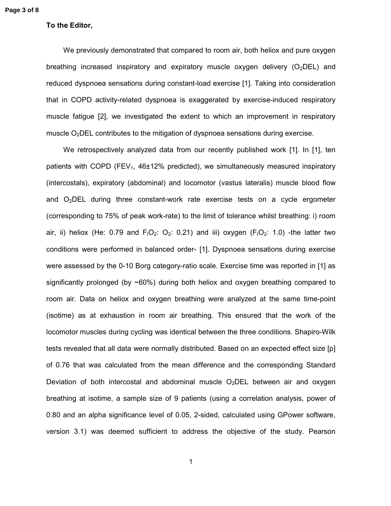## **To the Editor,**

We previously demonstrated that compared to room air, both heliox and pure oxygen breathing increased inspiratory and expiratory muscle oxygen delivery  $(O_2DEL)$  and reduced dyspnoea sensations during constant-load exercise [1]. Taking into consideration that in COPD activity-related dyspnoea is exaggerated by exercise-induced respiratory muscle fatigue [2], we investigated the extent to which an improvement in respiratory muscle  $O<sub>2</sub>DEL$  contributes to the mitigation of dyspnoea sensations during exercise.

We retrospectively analyzed data from our recently published work [1]. In [1], ten patients with COPD (FEV<sub>1</sub>, 46 $\pm$ 12% predicted), we simultaneously measured inspiratory (intercostals), expiratory (abdominal) and locomotor (vastus lateralis) muscle blood flow and  $O<sub>2</sub>$ DEL during three constant-work rate exercise tests on a cycle ergometer (corresponding to 75% of peak work-rate) to the limit of tolerance whilst breathing: i) room air, ii) heliox (He: 0.79 and  $F_1O_2$ : 0.21) and iii) oxygen ( $F_1O_2$ : 1.0) -the latter two conditions were performed in balanced order- [1]. Dyspnoea sensations during exercise were assessed by the 0-10 Borg category-ratio scale. Exercise time was reported in [1] as significantly prolonged (by  $\sim 60\%$ ) during both heliox and oxygen breathing compared to room air. Data on heliox and oxygen breathing were analyzed at the same time-point (isotime) as at exhaustion in room air breathing. This ensured that the work of the locomotor muscles during cycling was identical between the three conditions. Shapiro-Wilk tests revealed that all data were normally distributed. Based on an expected effect size [p] of 0.76 that was calculated from the mean difference and the corresponding Standard Deviation of both intercostal and abdominal muscle  $O<sub>2</sub>DEL$  between air and oxygen breathing at isotime, a sample size of 9 patients (using a correlation analysis, power of 0.80 and an alpha significance level of 0.05, 2-sided, calculated using GPower software, version 3.1) was deemed sufficient to address the objective of the study. Pearson

1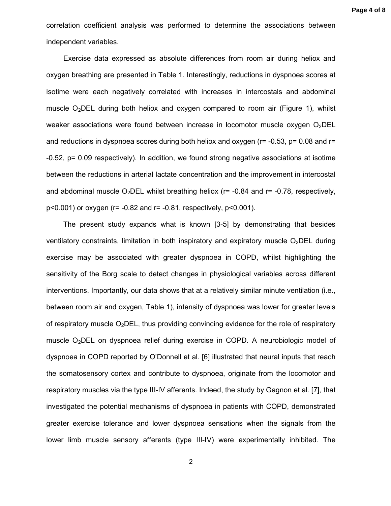correlation coefficient analysis was performed to determine the associations between independent variables.

Exercise data expressed as absolute differences from room air during heliox and oxygen breathing are presented in Table 1. Interestingly, reductions in dyspnoea scores at isotime were each negatively correlated with increases in intercostals and abdominal muscle  $O_2$ DEL during both heliox and oxygen compared to room air (Figure 1), whilst weaker associations were found between increase in locomotor muscle oxygen  $O_2$ DEL and reductions in dyspnoea scores during both heliox and oxygen ( $r = -0.53$ ,  $p = 0.08$  and  $r =$ -0.52, p= 0.09 respectively). In addition, we found strong negative associations at isotime between the reductions in arterial lactate concentration and the improvement in intercostal and abdominal muscle O<sub>2</sub>DEL whilst breathing heliox ( $r = -0.84$  and  $r = -0.78$ , respectively, p<0.001) or oxygen (r= -0.82 and r= -0.81, respectively, p<0.001).

The present study expands what is known [3-5] by demonstrating that besides ventilatory constraints, limitation in both inspiratory and expiratory muscle  $O<sub>2</sub>DEL$  during exercise may be associated with greater dyspnoea in COPD, whilst highlighting the sensitivity of the Borg scale to detect changes in physiological variables across different interventions. Importantly, our data shows that at a relatively similar minute ventilation (i.e., between room air and oxygen, Table 1), intensity of dyspnoea was lower for greater levels of respiratory muscle  $O<sub>2</sub>$ DEL, thus providing convincing evidence for the role of respiratory muscle O<sub>2</sub>DEL on dyspnoea relief during exercise in COPD. A neurobiologic model of dyspnoea in COPD reported by O'Donnell et al. [6] illustrated that neural inputs that reach the somatosensory cortex and contribute to dyspnoea, originate from the locomotor and respiratory muscles via the type III-IV afferents. Indeed, the study by Gagnon et al. [7], that investigated the potential mechanisms of dyspnoea in patients with COPD, demonstrated greater exercise tolerance and lower dyspnoea sensations when the signals from the lower limb muscle sensory afferents (type III-IV) were experimentally inhibited. The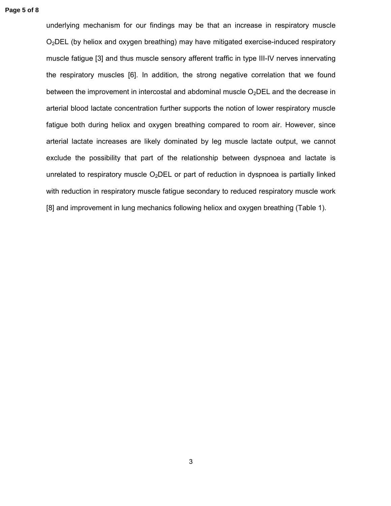underlying mechanism for our findings may be that an increase in respiratory muscle O2DEL (by heliox and oxygen breathing) may have mitigated exercise-induced respiratory muscle fatigue [3] and thus muscle sensory afferent traffic in type III-IV nerves innervating the respiratory muscles [6]. In addition, the strong negative correlation that we found between the improvement in intercostal and abdominal muscle  $O<sub>2</sub>DEL$  and the decrease in arterial blood lactate concentration further supports the notion of lower respiratory muscle fatigue both during heliox and oxygen breathing compared to room air. However, since arterial lactate increases are likely dominated by leg muscle lactate output, we cannot exclude the possibility that part of the relationship between dyspnoea and lactate is unrelated to respiratory muscle  $O<sub>2</sub>$ DEL or part of reduction in dyspnoea is partially linked with reduction in respiratory muscle fatigue secondary to reduced respiratory muscle work [8] and improvement in lung mechanics following heliox and oxygen breathing (Table 1).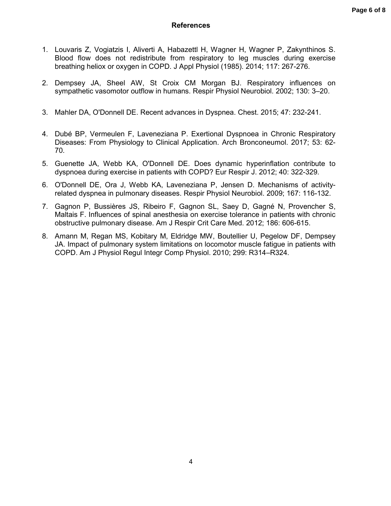- 1. Louvaris Z, Vogiatzis I, Aliverti A, Habazettl H, Wagner H, Wagner P, Zakynthinos S. Blood flow does not redistribute from respiratory to leg muscles during exercise breathing heliox or oxygen in COPD. J Appl Physiol (1985). 2014; 117: 267-276.
- 2. Dempsey JA, Sheel AW, St Croix CM Morgan BJ. Respiratory influences on sympathetic vasomotor outflow in humans. Respir Physiol Neurobiol. 2002; 130: 3–20.
- 3. Mahler DA, O'Donnell DE. Recent advances in Dyspnea. Chest. 2015; 47: 232-241.
- 4. Dubé BP, Vermeulen F, Laveneziana P. Exertional Dyspnoea in Chronic Respiratory Diseases: From Physiology to Clinical Application. Arch Bronconeumol. 2017; 53: 62- 70.
- 5. Guenette JA, Webb KA, O'Donnell DE. Does dynamic hyperinflation contribute to dyspnoea during exercise in patients with COPD? Eur Respir J. 2012; 40: 322-329.
- 6. O'Donnell DE, Ora J, Webb KA, Laveneziana P, Jensen D. Mechanisms of activityrelated dyspnea in pulmonary diseases. Respir Physiol Neurobiol. 2009; 167: 116-132.
- 7. Gagnon P, Bussières JS, Ribeiro F, Gagnon SL, Saey D, Gagné N, Provencher S, Maltais F. Influences of spinal anesthesia on exercise tolerance in patients with chronic obstructive pulmonary disease. Am J Respir Crit Care Med. 2012; 186: 606-615.
- 8. Amann M, Regan MS, Kobitary M, Eldridge MW, Boutellier U, Pegelow DF, Dempsey JA. Impact of pulmonary system limitations on locomotor muscle fatigue in patients with COPD. Am J Physiol Regul Integr Comp Physiol. 2010; 299: R314–R324.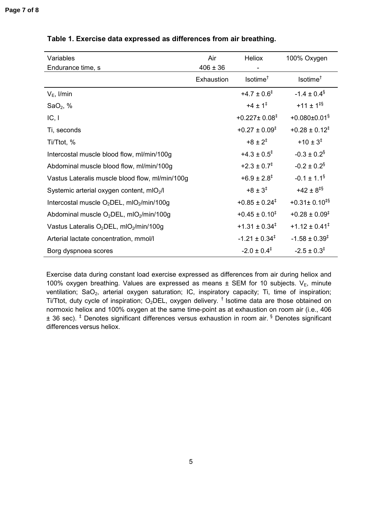| Variables                                                       | Air          | Heliox                        | 100% Oxygen                    |
|-----------------------------------------------------------------|--------------|-------------------------------|--------------------------------|
| Endurance time, s                                               | $406 \pm 36$ |                               |                                |
|                                                                 | Exhaustion   | Isotime <sup>†</sup>          | Isotime <sup>†</sup>           |
| $V_E$ , I/min                                                   |              | $+4.7 \pm 0.6^{\ddagger}$     | $-1.4 \pm 0.4$ <sup>§</sup>    |
| SaO <sub>2</sub> , $%$                                          |              | $+4 \pm 1^{\ddagger}$         | $+11 \pm 1^{\text{IS}}$        |
| IC, I                                                           |              | $+0.227 \pm 0.08^{\ddagger}$  | $+0.080 \pm 0.01$ <sup>§</sup> |
| Ti, seconds                                                     |              | $+0.27 \pm 0.09^{\ddagger}$   | $+0.28 \pm 0.12^{\ddagger}$    |
| Ti/Ttot, %                                                      |              | $+8 \pm 2^{\ddagger}$         | $+10 \pm 3^{\ddagger}$         |
| Intercostal muscle blood flow, ml/min/100g                      |              | $+4.3 \pm 0.5^{\ddagger}$     | $-0.3 \pm 0.2$ <sup>§</sup>    |
| Abdominal muscle blood flow, ml/min/100g                        |              | $+2.3 \pm 0.7^{\ddagger}$     | $-0.2 \pm 0.2$ <sup>§</sup>    |
| Vastus Lateralis muscle blood flow, ml/min/100g                 |              | $+6.9 \pm 2.8^{\ddagger}$     | $-0.1 \pm 1.1^{\$}$            |
| Systemic arterial oxygen content, mIO <sub>2</sub> /l           |              | $+8 \pm 3^{\ddagger}$         | $+42 \pm 8$ <sup>#§</sup>      |
| Intercostal muscle $O_2$ DEL, mIO $_2$ /min/100g                |              | $+0.85 \pm 0.24$ <sup>‡</sup> | $+0.31 \pm 0.10^{18}$          |
| Abdominal muscle $O_2$ DEL, mIO $_2$ /min/100g                  |              | $+0.45 \pm 0.10^{\ddagger}$   | $+0.28 \pm 0.09^{\ddagger}$    |
| Vastus Lateralis O <sub>2</sub> DEL, mIO <sub>2</sub> /min/100g |              | $+1.31 \pm 0.34^{\ddagger}$   | $+1.12 \pm 0.41^{\ddagger}$    |
| Arterial lactate concentration, mmol/l                          |              | $-1.21 \pm 0.34^{\ddagger}$   | $-1.58 \pm 0.39^{\ddagger}$    |
| Borg dyspnoea scores                                            |              | $-2.0 \pm 0.4^{\ddagger}$     | $-2.5 \pm 0.3^{\ddagger}$      |

## **Table 1. Exercise data expressed as differences from air breathing.**

Exercise data during constant load exercise expressed as differences from air during heliox and 100% oxygen breathing. Values are expressed as means  $\pm$  SEM for 10 subjects. V<sub>E</sub>, minute ventilation; SaO<sub>2</sub>, arterial oxygen saturation; IC, inspiratory capacity; Ti, time of inspiration; Ti/Ttot, duty cycle of inspiration; O<sub>2</sub>DEL, oxygen delivery.<sup>†</sup> Isotime data are those obtained on normoxic heliox and 100% oxygen at the same time-point as at exhaustion on room air (i.e., 406 ± 36 sec). ‡ Denotes significant differences versus exhaustion in room air. § Denotes significant differences versus heliox.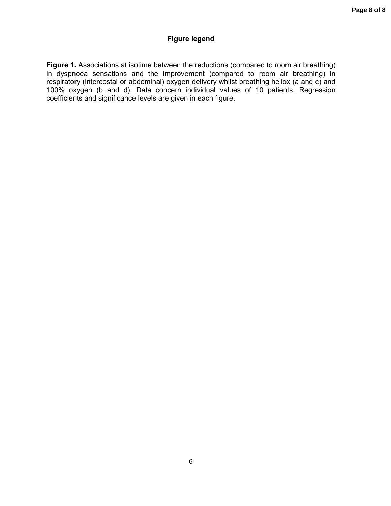## **Figure legend**

**Figure 1.** Associations at isotime between the reductions (compared to room air breathing) in dyspnoea sensations and the improvement (compared to room air breathing) in respiratory (intercostal or abdominal) oxygen delivery whilst breathing heliox (a and c) and 100% oxygen (b and d). Data concern individual values of 10 patients. Regression coefficients and significance levels are given in each figure.